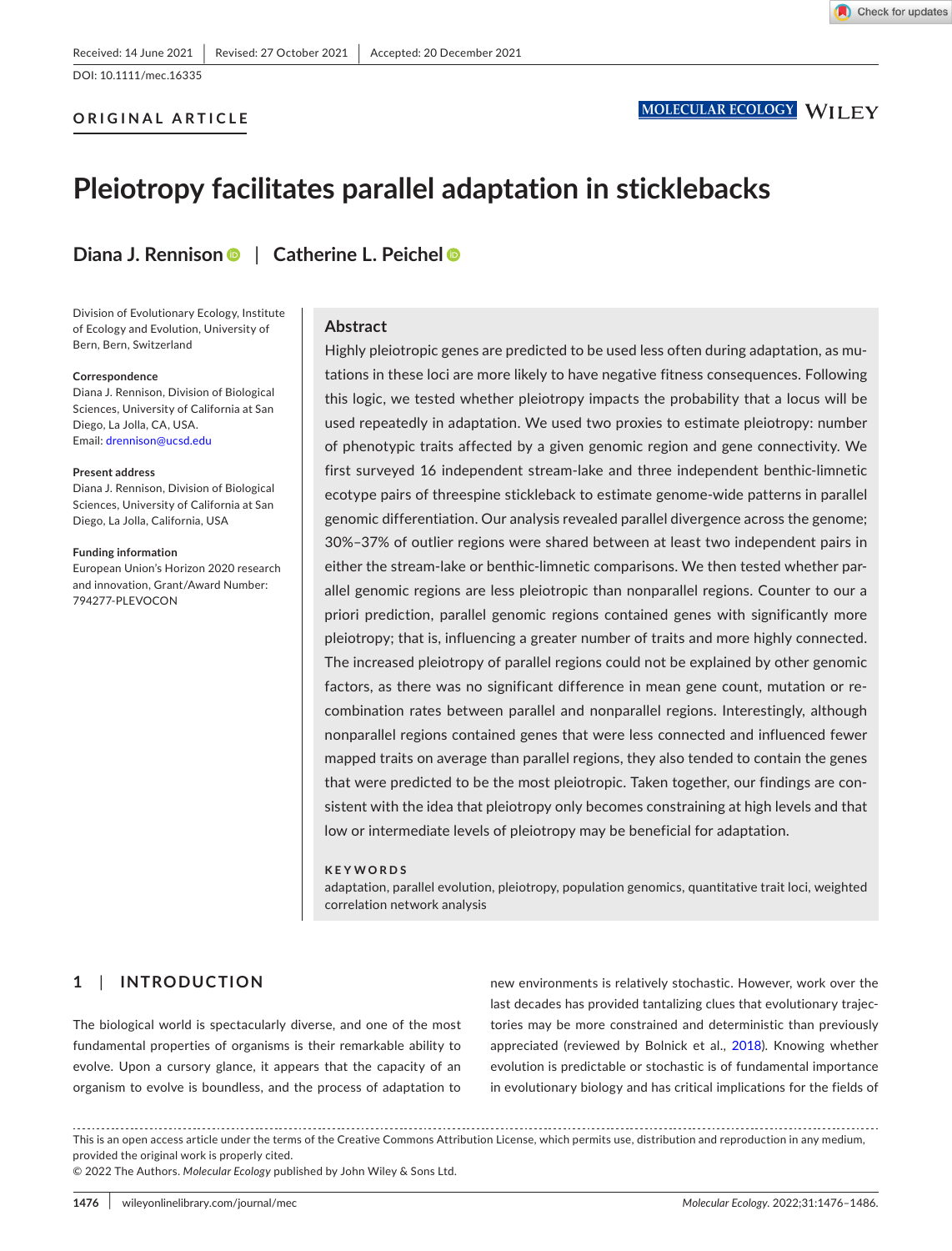DOI: 10.1111/mec.16335

## **ORIGINAL ARTICLE**

# **Pleiotropy facilitates parallel adaptation in sticklebacks**

**Diana J. Rennison** | **Catherine L. Peiche[l](https://orcid.org/0000-0002-7731-8944)**

Division of Evolutionary Ecology, Institute of Ecology and Evolution, University of Bern, Bern, Switzerland

#### **Correspondence**

Diana J. Rennison, Division of Biological Sciences, University of California at San Diego, La Jolla, CA, USA. Email: [drennison@ucsd.edu](mailto:drennison@ucsd.edu)

#### **Present address**

Diana J. Rennison, Division of Biological Sciences, University of California at San Diego, La Jolla, California, USA

#### **Funding information**

European Union's Horizon 2020 research and innovation, Grant/Award Number: 794277-PLEVOCON

#### **Abstract**

Highly pleiotropic genes are predicted to be used less often during adaptation, as mutations in these loci are more likely to have negative fitness consequences. Following this logic, we tested whether pleiotropy impacts the probability that a locus will be used repeatedly in adaptation. We used two proxies to estimate pleiotropy: number of phenotypic traits affected by a given genomic region and gene connectivity. We first surveyed 16 independent stream-lake and three independent benthic-limnetic ecotype pairs of threespine stickleback to estimate genome-wide patterns in parallel genomic differentiation. Our analysis revealed parallel divergence across the genome; 30%–37% of outlier regions were shared between at least two independent pairs in either the stream-lake or benthic-limnetic comparisons. We then tested whether parallel genomic regions are less pleiotropic than nonparallel regions. Counter to our a priori prediction, parallel genomic regions contained genes with significantly more pleiotropy; that is, influencing a greater number of traits and more highly connected. The increased pleiotropy of parallel regions could not be explained by other genomic factors, as there was no significant difference in mean gene count, mutation or recombination rates between parallel and nonparallel regions. Interestingly, although nonparallel regions contained genes that were less connected and influenced fewer mapped traits on average than parallel regions, they also tended to contain the genes that were predicted to be the most pleiotropic. Taken together, our findings are consistent with the idea that pleiotropy only becomes constraining at high levels and that low or intermediate levels of pleiotropy may be beneficial for adaptation.

#### **KEYWORDS**

adaptation, parallel evolution, pleiotropy, population genomics, quantitative trait loci, weighted correlation network analysis

# **1**  | **INTRODUCTION**

The biological world is spectacularly diverse, and one of the most fundamental properties of organisms is their remarkable ability to evolve. Upon a cursory glance, it appears that the capacity of an organism to evolve is boundless, and the process of adaptation to

new environments is relatively stochastic. However, work over the last decades has provided tantalizing clues that evolutionary trajectories may be more constrained and deterministic than previously appreciated (reviewed by Bolnick et al., [2018](#page-9-0)). Knowing whether evolution is predictable or stochastic is of fundamental importance in evolutionary biology and has critical implications for the fields of

This is an open access article under the terms of the Creative Commons Attribution License, which permits use, distribution and reproduction in any medium, provided the original work is properly cited.

© 2022 The Authors. *Molecular Ecology* published by John Wiley & Sons Ltd.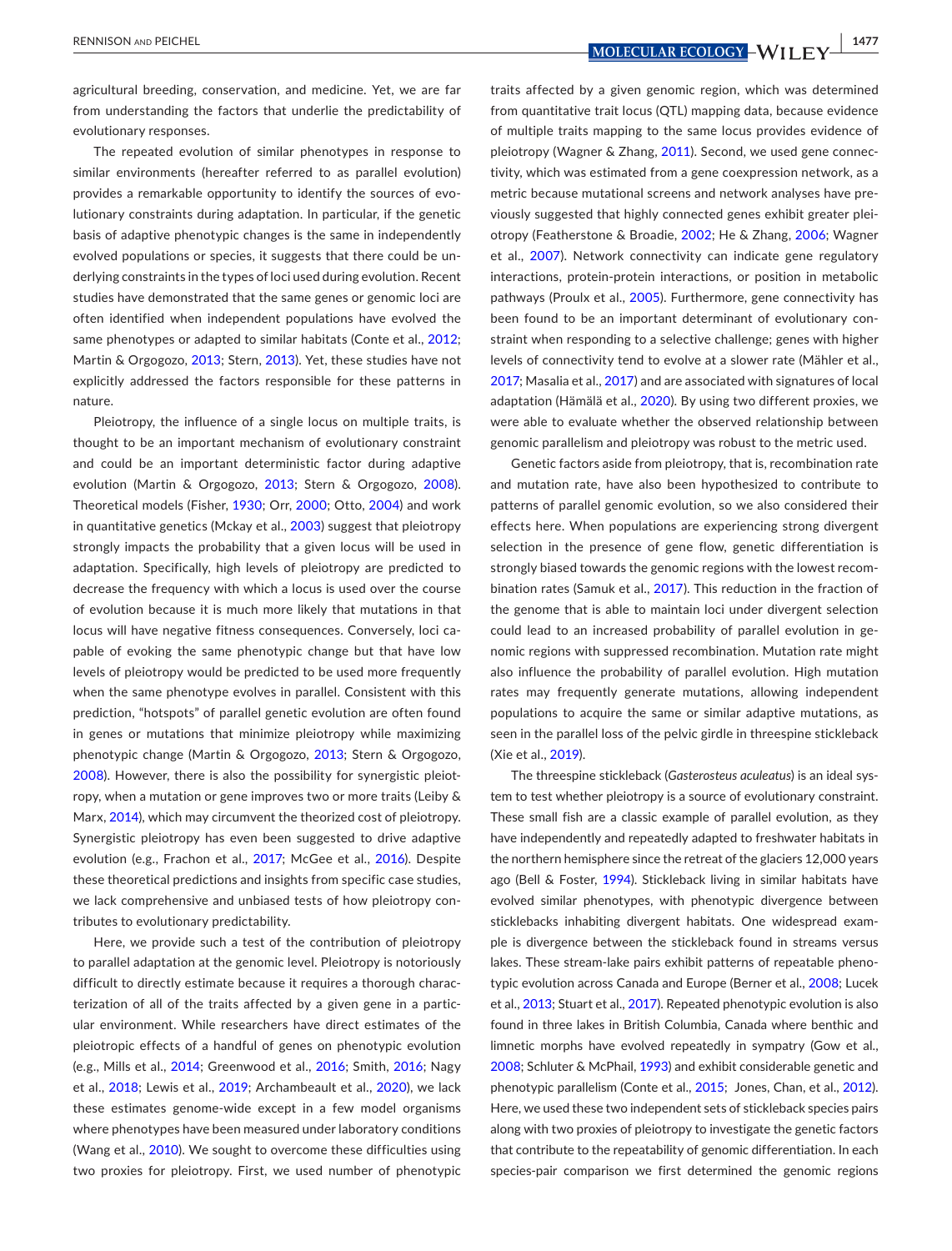agricultural breeding, conservation, and medicine. Yet, we are far from understanding the factors that underlie the predictability of evolutionary responses.

The repeated evolution of similar phenotypes in response to similar environments (hereafter referred to as parallel evolution) provides a remarkable opportunity to identify the sources of evolutionary constraints during adaptation. In particular, if the genetic basis of adaptive phenotypic changes is the same in independently evolved populations or species, it suggests that there could be underlying constraints in the types of loci used during evolution. Recent studies have demonstrated that the same genes or genomic loci are often identified when independent populations have evolved the same phenotypes or adapted to similar habitats (Conte et al., [2012](#page-9-1); Martin & Orgogozo, [2013](#page-9-2); Stern, [2013\)](#page-10-0). Yet, these studies have not explicitly addressed the factors responsible for these patterns in nature.

Pleiotropy, the influence of a single locus on multiple traits, is thought to be an important mechanism of evolutionary constraint and could be an important deterministic factor during adaptive evolution (Martin & Orgogozo, [2013](#page-9-2); Stern & Orgogozo, [2008](#page-10-1)). Theoretical models (Fisher, [1930](#page-9-3); Orr, [2000](#page-9-4); Otto, [2004](#page-10-2)) and work in quantitative genetics (Mckay et al., [2003\)](#page-9-5) suggest that pleiotropy strongly impacts the probability that a given locus will be used in adaptation. Specifically, high levels of pleiotropy are predicted to decrease the frequency with which a locus is used over the course of evolution because it is much more likely that mutations in that locus will have negative fitness consequences. Conversely, loci capable of evoking the same phenotypic change but that have low levels of pleiotropy would be predicted to be used more frequently when the same phenotype evolves in parallel. Consistent with this prediction, "hotspots" of parallel genetic evolution are often found in genes or mutations that minimize pleiotropy while maximizing phenotypic change (Martin & Orgogozo, [2013](#page-9-2); Stern & Orgogozo, [2008\)](#page-10-1). However, there is also the possibility for synergistic pleiotropy, when a mutation or gene improves two or more traits (Leiby & Marx, [2014\)](#page-9-6), which may circumvent the theorized cost of pleiotropy. Synergistic pleiotropy has even been suggested to drive adaptive evolution (e.g., Frachon et al., [2017;](#page-9-7) McGee et al., [2016](#page-9-8)). Despite these theoretical predictions and insights from specific case studies, we lack comprehensive and unbiased tests of how pleiotropy contributes to evolutionary predictability.

Here, we provide such a test of the contribution of pleiotropy to parallel adaptation at the genomic level. Pleiotropy is notoriously difficult to directly estimate because it requires a thorough characterization of all of the traits affected by a given gene in a particular environment. While researchers have direct estimates of the pleiotropic effects of a handful of genes on phenotypic evolution (e.g., Mills et al., [2014](#page-9-9); Greenwood et al., [2016](#page-9-10); Smith, [2016](#page-10-3); Nagy et al., [2018](#page-9-11); Lewis et al., [2019](#page-9-12); Archambeault et al., [2020\)](#page-9-13), we lack these estimates genome-wide except in a few model organisms where phenotypes have been measured under laboratory conditions (Wang et al., [2010\)](#page-10-4). We sought to overcome these difficulties using two proxies for pleiotropy. First, we used number of phenotypic

traits affected by a given genomic region, which was determined from quantitative trait locus (QTL) mapping data, because evidence of multiple traits mapping to the same locus provides evidence of pleiotropy (Wagner & Zhang, [2011](#page-10-5)). Second, we used gene connectivity, which was estimated from a gene coexpression network, as a metric because mutational screens and network analyses have previously suggested that highly connected genes exhibit greater pleiotropy (Featherstone & Broadie, [2002](#page-9-14); He & Zhang, [2006;](#page-9-15) Wagner et al., [2007](#page-10-6)). Network connectivity can indicate gene regulatory interactions, protein-protein interactions, or position in metabolic pathways (Proulx et al., [2005](#page-10-7)). Furthermore, gene connectivity has been found to be an important determinant of evolutionary constraint when responding to a selective challenge; genes with higher levels of connectivity tend to evolve at a slower rate (Mähler et al., [2017](#page-9-16); Masalia et al., [2017\)](#page-9-17) and are associated with signatures of local adaptation (Hämälä et al., [2020\)](#page-9-18). By using two different proxies, we were able to evaluate whether the observed relationship between genomic parallelism and pleiotropy was robust to the metric used.

Genetic factors aside from pleiotropy, that is, recombination rate and mutation rate, have also been hypothesized to contribute to patterns of parallel genomic evolution, so we also considered their effects here. When populations are experiencing strong divergent selection in the presence of gene flow, genetic differentiation is strongly biased towards the genomic regions with the lowest recombination rates (Samuk et al., [2017\)](#page-10-8). This reduction in the fraction of the genome that is able to maintain loci under divergent selection could lead to an increased probability of parallel evolution in genomic regions with suppressed recombination. Mutation rate might also influence the probability of parallel evolution. High mutation rates may frequently generate mutations, allowing independent populations to acquire the same or similar adaptive mutations, as seen in the parallel loss of the pelvic girdle in threespine stickleback (Xie et al., [2019](#page-10-9)).

The threespine stickleback (*Gasterosteus aculeatus*) is an ideal system to test whether pleiotropy is a source of evolutionary constraint. These small fish are a classic example of parallel evolution, as they have independently and repeatedly adapted to freshwater habitats in the northern hemisphere since the retreat of the glaciers 12,000 years ago (Bell & Foster, [1994\)](#page-9-19). Stickleback living in similar habitats have evolved similar phenotypes, with phenotypic divergence between sticklebacks inhabiting divergent habitats. One widespread example is divergence between the stickleback found in streams versus lakes. These stream-lake pairs exhibit patterns of repeatable phenotypic evolution across Canada and Europe (Berner et al., [2008](#page-9-20); Lucek et al., [2013](#page-9-21); Stuart et al., [2017](#page-10-10)). Repeated phenotypic evolution is also found in three lakes in British Columbia, Canada where benthic and limnetic morphs have evolved repeatedly in sympatry (Gow et al., [2008;](#page-9-22) Schluter & McPhail, [1993](#page-10-11)) and exhibit considerable genetic and phenotypic parallelism (Conte et al., [2015](#page-9-23); Jones, Chan, et al., [2012\)](#page-9-24). Here, we used these two independent sets of stickleback species pairs along with two proxies of pleiotropy to investigate the genetic factors that contribute to the repeatability of genomic differentiation. In each species-pair comparison we first determined the genomic regions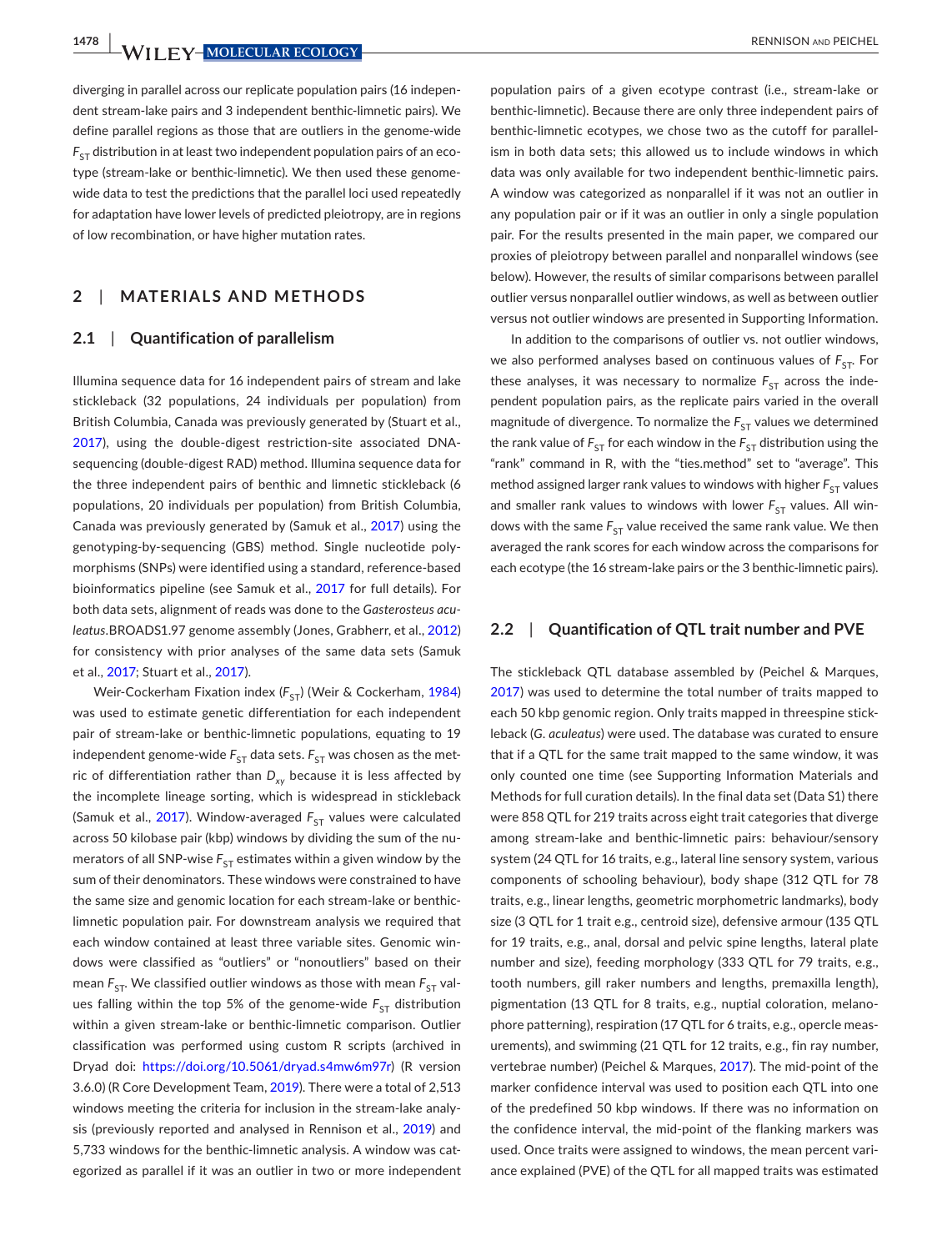**1478 WII FY-MOLECULAR ECOLOGY** *COLOGY RENNISON AND PEICHEL* 

diverging in parallel across our replicate population pairs (16 independent stream-lake pairs and 3 independent benthic-limnetic pairs). We define parallel regions as those that are outliers in the genome-wide  $F_{ST}$  distribution in at least two independent population pairs of an ecotype (stream-lake or benthic-limnetic). We then used these genomewide data to test the predictions that the parallel loci used repeatedly for adaptation have lower levels of predicted pleiotropy, are in regions of low recombination, or have higher mutation rates.

# **2**  | **MATERIALS AND METHODS**

### **2.1**  | **Quantification of parallelism**

Illumina sequence data for 16 independent pairs of stream and lake stickleback (32 populations, 24 individuals per population) from British Columbia, Canada was previously generated by (Stuart et al., [2017](#page-10-10)), using the double-digest restriction-site associated DNAsequencing (double-digest RAD) method. Illumina sequence data for the three independent pairs of benthic and limnetic stickleback (6 populations, 20 individuals per population) from British Columbia, Canada was previously generated by (Samuk et al., [2017\)](#page-10-8) using the genotyping-by-sequencing (GBS) method. Single nucleotide polymorphisms (SNPs) were identified using a standard, reference-based bioinformatics pipeline (see Samuk et al., [2017](#page-10-8) for full details). For both data sets, alignment of reads was done to the *Gasterosteus aculeatus*.BROADS1.97 genome assembly (Jones, Grabherr, et al., [2012](#page-9-25)) for consistency with prior analyses of the same data sets (Samuk et al., [2017;](#page-10-8) Stuart et al., [2017](#page-10-10)).

Weir-Cockerham Fixation index (F<sub>ST</sub>) (Weir & Cockerham, [1984](#page-10-12)) was used to estimate genetic differentiation for each independent pair of stream-lake or benthic-limnetic populations, equating to 19 independent genome-wide  $F_{ST}$  data sets.  $F_{ST}$  was chosen as the metric of differentiation rather than  $D_{xy}$  because it is less affected by the incomplete lineage sorting, which is widespread in stickleback (Samuk et al., [2017](#page-10-8)). Window-averaged  $F_{ST}$  values were calculated across 50 kilobase pair (kbp) windows by dividing the sum of the numerators of all SNP-wise  $F_{ST}$  estimates within a given window by the sum of their denominators. These windows were constrained to have the same size and genomic location for each stream-lake or benthiclimnetic population pair. For downstream analysis we required that each window contained at least three variable sites. Genomic windows were classified as "outliers" or "nonoutliers" based on their mean  $F_{ST}$ . We classified outlier windows as those with mean  $F_{ST}$  values falling within the top 5% of the genome-wide  $F_{ST}$  distribution within a given stream-lake or benthic-limnetic comparison. Outlier classification was performed using custom R scripts (archived in Dryad doi: <https://doi.org/10.5061/dryad.s4mw6m97r>) (R version 3.6.0) (R Core Development Team, [2019](#page-10-13)). There were a total of 2,513 windows meeting the criteria for inclusion in the stream-lake analy-sis (previously reported and analysed in Rennison et al., [2019](#page-10-14)) and 5,733 windows for the benthic-limnetic analysis. A window was categorized as parallel if it was an outlier in two or more independent

population pairs of a given ecotype contrast (i.e., stream-lake or benthic-limnetic). Because there are only three independent pairs of benthic-limnetic ecotypes, we chose two as the cutoff for parallelism in both data sets; this allowed us to include windows in which data was only available for two independent benthic-limnetic pairs. A window was categorized as nonparallel if it was not an outlier in any population pair or if it was an outlier in only a single population pair. For the results presented in the main paper, we compared our proxies of pleiotropy between parallel and nonparallel windows (see below). However, the results of similar comparisons between parallel outlier versus nonparallel outlier windows, as well as between outlier versus not outlier windows are presented in Supporting Information.

In addition to the comparisons of outlier vs. not outlier windows, we also performed analyses based on continuous values of  $F_{ST}$ . For these analyses, it was necessary to normalize  $F_{ST}$  across the independent population pairs, as the replicate pairs varied in the overall magnitude of divergence. To normalize the  $F_{ST}$  values we determined the rank value of  $F_{ST}$  for each window in the  $F_{ST}$  distribution using the "rank" command in R, with the "ties.method" set to "average". This method assigned larger rank values to windows with higher  $F_{ST}$  values and smaller rank values to windows with lower  $F_{ST}$  values. All windows with the same  $F_{ST}$  value received the same rank value. We then averaged the rank scores for each window across the comparisons for each ecotype (the 16 stream-lake pairs or the 3 benthic-limnetic pairs).

## **2.2**  | **Quantification of QTL trait number and PVE**

The stickleback QTL database assembled by (Peichel & Marques, [2017](#page-10-15)) was used to determine the total number of traits mapped to each 50 kbp genomic region. Only traits mapped in threespine stickleback (*G*. *aculeatus*) were used. The database was curated to ensure that if a QTL for the same trait mapped to the same window, it was only counted one time (see Supporting Information Materials and Methods for full curation details). In the final data set (Data S1) there were 858 QTL for 219 traits across eight trait categories that diverge among stream-lake and benthic-limnetic pairs: behaviour/sensory system (24 QTL for 16 traits, e.g., lateral line sensory system, various components of schooling behaviour), body shape (312 QTL for 78 traits, e.g., linear lengths, geometric morphometric landmarks), body size (3 QTL for 1 trait e.g., centroid size), defensive armour (135 QTL for 19 traits, e.g., anal, dorsal and pelvic spine lengths, lateral plate number and size), feeding morphology (333 QTL for 79 traits, e.g., tooth numbers, gill raker numbers and lengths, premaxilla length), pigmentation (13 QTL for 8 traits, e.g., nuptial coloration, melanophore patterning), respiration (17 QTL for 6 traits, e.g., opercle measurements), and swimming (21 QTL for 12 traits, e.g., fin ray number, vertebrae number) (Peichel & Marques, [2017\)](#page-10-15). The mid-point of the marker confidence interval was used to position each QTL into one of the predefined 50 kbp windows. If there was no information on the confidence interval, the mid-point of the flanking markers was used. Once traits were assigned to windows, the mean percent variance explained (PVE) of the QTL for all mapped traits was estimated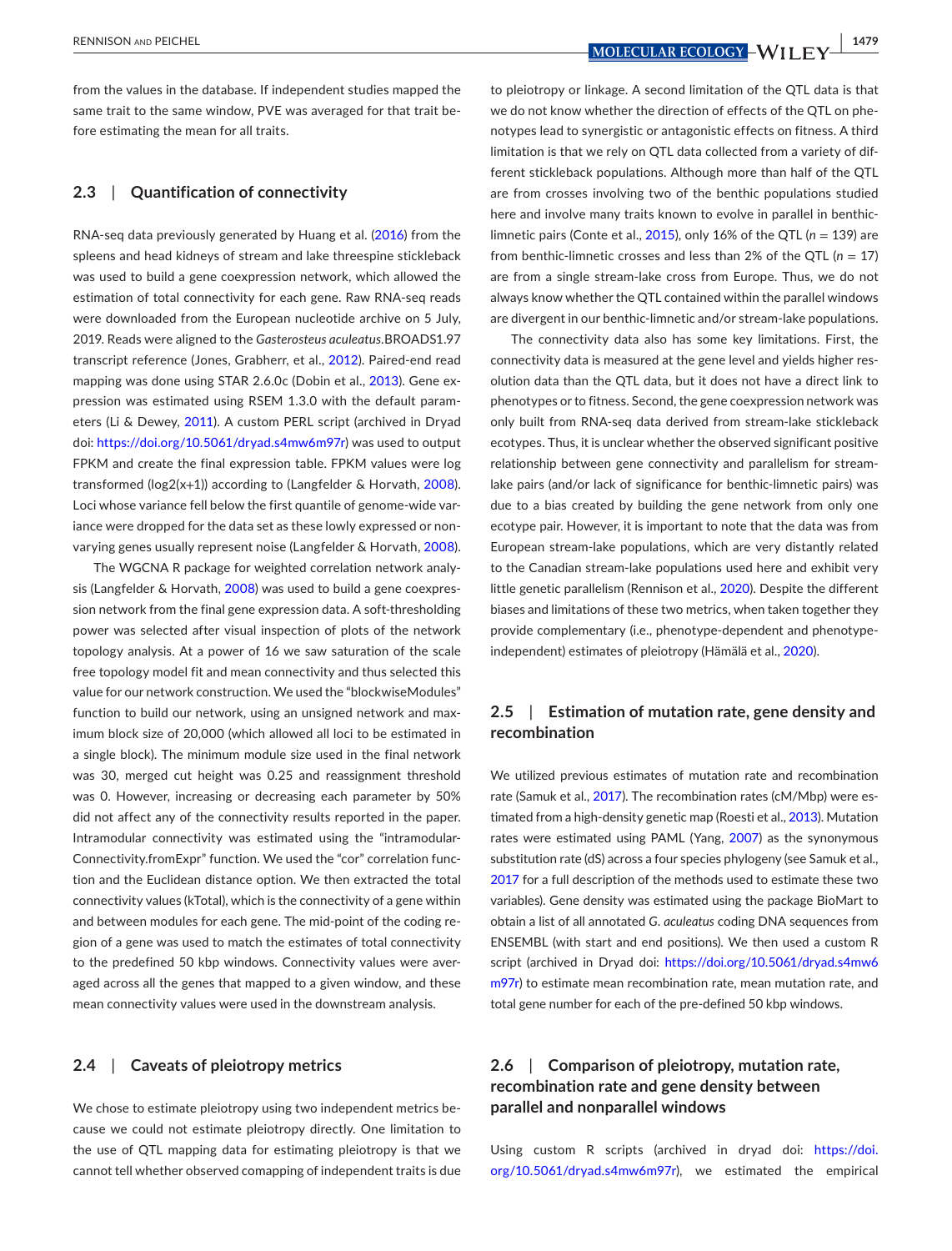RENNISON and PEICHEL **<sup>|</sup> 1479**

from the values in the database. If independent studies mapped the same trait to the same window, PVE was averaged for that trait before estimating the mean for all traits.

# **2.3**  | **Quantification of connectivity**

RNA-seq data previously generated by Huang et al. ([2016\)](#page-9-26) from the spleens and head kidneys of stream and lake threespine stickleback was used to build a gene coexpression network, which allowed the estimation of total connectivity for each gene. Raw RNA-seq reads were downloaded from the European nucleotide archive on 5 July, 2019. Reads were aligned to the *Gasterosteus aculeatus*.BROADS1.97 transcript reference (Jones, Grabherr, et al., [2012](#page-9-25)). Paired-end read mapping was done using STAR 2.6.0c (Dobin et al., [2013](#page-9-27)). Gene expression was estimated using RSEM 1.3.0 with the default parameters (Li & Dewey, [2011](#page-9-28)). A custom PERL script (archived in Dryad doi: <https://doi.org/10.5061/dryad.s4mw6m97r>) was used to output FPKM and create the final expression table. FPKM values were log transformed (log2(x+1)) according to (Langfelder & Horvath, [2008](#page-9-29)). Loci whose variance fell below the first quantile of genome-wide variance were dropped for the data set as these lowly expressed or nonvarying genes usually represent noise (Langfelder & Horvath, [2008](#page-9-29)).

The WGCNA R package for weighted correlation network analysis (Langfelder & Horvath, [2008\)](#page-9-29) was used to build a gene coexpression network from the final gene expression data. A soft-thresholding power was selected after visual inspection of plots of the network topology analysis. At a power of 16 we saw saturation of the scale free topology model fit and mean connectivity and thus selected this value for our network construction. We used the "blockwiseModules" function to build our network, using an unsigned network and maximum block size of 20,000 (which allowed all loci to be estimated in a single block). The minimum module size used in the final network was 30, merged cut height was 0.25 and reassignment threshold was 0. However, increasing or decreasing each parameter by 50% did not affect any of the connectivity results reported in the paper. Intramodular connectivity was estimated using the "intramodular-Connectivity.fromExpr" function. We used the "cor" correlation function and the Euclidean distance option. We then extracted the total connectivity values (kTotal), which is the connectivity of a gene within and between modules for each gene. The mid-point of the coding region of a gene was used to match the estimates of total connectivity to the predefined 50 kbp windows. Connectivity values were averaged across all the genes that mapped to a given window, and these mean connectivity values were used in the downstream analysis.

# **2.4**  | **Caveats of pleiotropy metrics**

We chose to estimate pleiotropy using two independent metrics because we could not estimate pleiotropy directly. One limitation to the use of QTL mapping data for estimating pleiotropy is that we cannot tell whether observed comapping of independent traits is due

to pleiotropy or linkage. A second limitation of the QTL data is that we do not know whether the direction of effects of the QTL on phenotypes lead to synergistic or antagonistic effects on fitness. A third limitation is that we rely on QTL data collected from a variety of different stickleback populations. Although more than half of the QTL are from crosses involving two of the benthic populations studied here and involve many traits known to evolve in parallel in benthiclimnetic pairs (Conte et al., [2015](#page-9-23)), only 16% of the QTL (*n* = 139) are from benthic-limnetic crosses and less than 2% of the QTL (*n* = 17) are from a single stream-lake cross from Europe. Thus, we do not always know whether the QTL contained within the parallel windows are divergent in our benthic-limnetic and/or stream-lake populations.

The connectivity data also has some key limitations. First, the connectivity data is measured at the gene level and yields higher resolution data than the QTL data, but it does not have a direct link to phenotypes or to fitness. Second, the gene coexpression network was only built from RNA-seq data derived from stream-lake stickleback ecotypes. Thus, it is unclear whether the observed significant positive relationship between gene connectivity and parallelism for streamlake pairs (and/or lack of significance for benthic-limnetic pairs) was due to a bias created by building the gene network from only one ecotype pair. However, it is important to note that the data was from European stream-lake populations, which are very distantly related to the Canadian stream-lake populations used here and exhibit very little genetic parallelism (Rennison et al., [2020](#page-10-16)). Despite the different biases and limitations of these two metrics, when taken together they provide complementary (i.e., phenotype-dependent and phenotypeindependent) estimates of pleiotropy (Hämälä et al., [2020\)](#page-9-18).

# **2.5**  | **Estimation of mutation rate, gene density and recombination**

We utilized previous estimates of mutation rate and recombination rate (Samuk et al., [2017](#page-10-8)). The recombination rates (cM/Mbp) were estimated from a high-density genetic map (Roesti et al., [2013\)](#page-10-17). Mutation rates were estimated using PAML (Yang, [2007\)](#page-10-18) as the synonymous substitution rate (dS) across a four species phylogeny (see Samuk et al., [2017](#page-10-8) for a full description of the methods used to estimate these two variables). Gene density was estimated using the package BioMart to obtain a list of all annotated *G*. *aculeatus* coding DNA sequences from ENSEMBL (with start and end positions). We then used a custom R script (archived in Dryad doi: [https://doi.org/10.5061/dryad.s4mw6](https://doi.org/10.5061/dryad.s4mw6m97r) [m97r\)](https://doi.org/10.5061/dryad.s4mw6m97r) to estimate mean recombination rate, mean mutation rate, and total gene number for each of the pre-defined 50 kbp windows.

# **2.6**  | **Comparison of pleiotropy, mutation rate, recombination rate and gene density between parallel and nonparallel windows**

Using custom R scripts (archived in dryad doi: [https://doi.](https://doi.org/10.5061/dryad.s4mw6m97r) [org/10.5061/dryad.s4mw6m97r](https://doi.org/10.5061/dryad.s4mw6m97r)), we estimated the empirical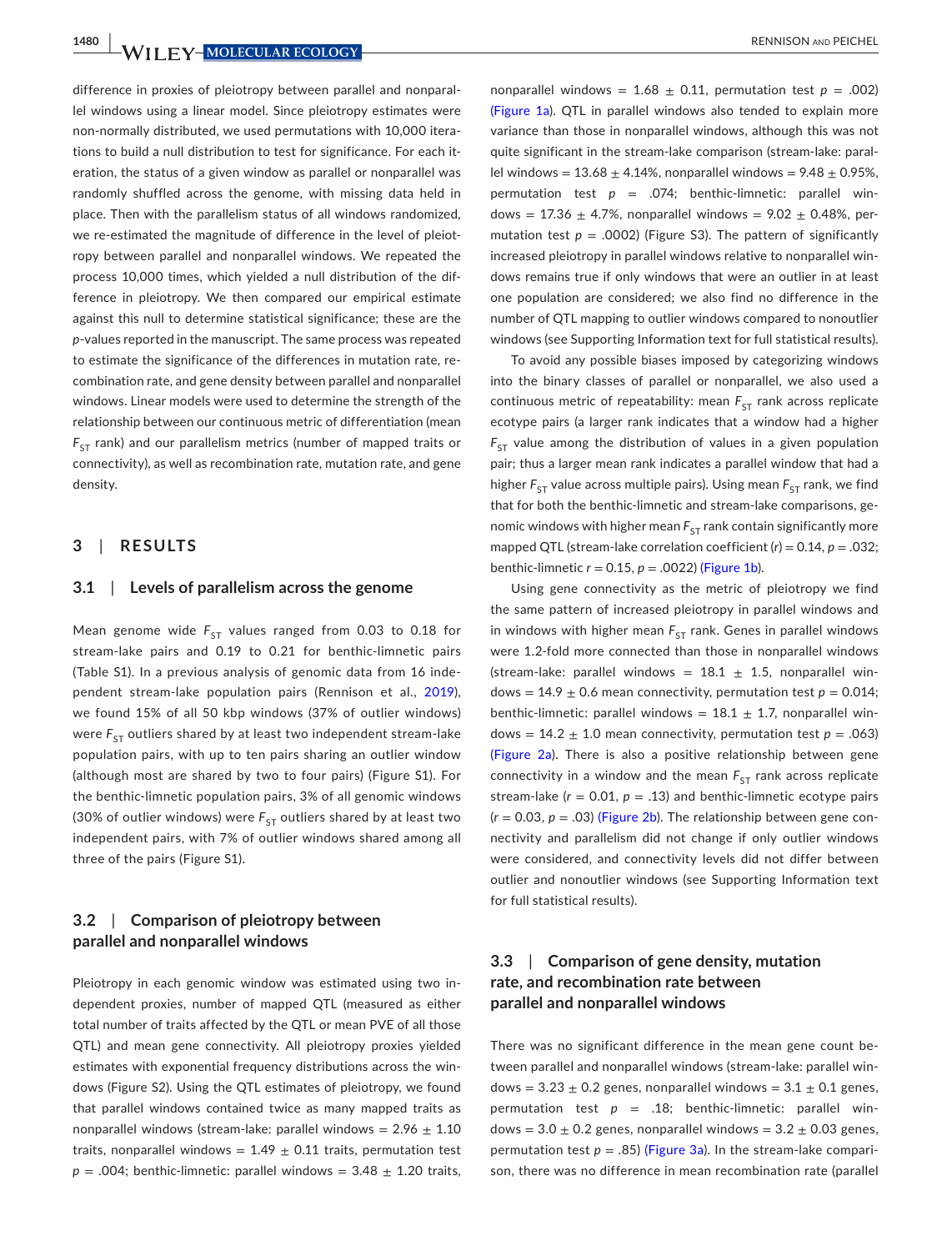**1480 WILLEY-MOLECULAR ECOLOGY** 

difference in proxies of pleiotropy between parallel and nonparallel windows using a linear model. Since pleiotropy estimates were non-normally distributed, we used permutations with 10,000 iterations to build a null distribution to test for significance. For each iteration, the status of a given window as parallel or nonparallel was randomly shuffled across the genome, with missing data held in place. Then with the parallelism status of all windows randomized, we re-estimated the magnitude of difference in the level of pleiotropy between parallel and nonparallel windows. We repeated the process 10,000 times, which yielded a null distribution of the difference in pleiotropy. We then compared our empirical estimate against this null to determine statistical significance; these are the *p*-values reported in the manuscript. The same process was repeated to estimate the significance of the differences in mutation rate, recombination rate, and gene density between parallel and nonparallel windows. Linear models were used to determine the strength of the relationship between our continuous metric of differentiation (mean  $F_{ST}$  rank) and our parallelism metrics (number of mapped traits or connectivity), as well as recombination rate, mutation rate, and gene density.

### **3**  | **RESULTS**

### **3.1**  | **Levels of parallelism across the genome**

Mean genome wide  $F_{ST}$  values ranged from 0.03 to 0.18 for stream-lake pairs and 0.19 to 0.21 for benthic-limnetic pairs (Table S1). In a previous analysis of genomic data from 16 independent stream-lake population pairs (Rennison et al., [2019](#page-10-14)), we found 15% of all 50 kbp windows (37% of outlier windows) were  $F_{ST}$  outliers shared by at least two independent stream-lake population pairs, with up to ten pairs sharing an outlier window (although most are shared by two to four pairs) (Figure S1). For the benthic-limnetic population pairs, 3% of all genomic windows (30% of outlier windows) were  $F_{ST}$  outliers shared by at least two independent pairs, with 7% of outlier windows shared among all three of the pairs (Figure S1).

# **3.2**  | **Comparison of pleiotropy between parallel and nonparallel windows**

Pleiotropy in each genomic window was estimated using two independent proxies, number of mapped QTL (measured as either total number of traits affected by the QTL or mean PVE of all those QTL) and mean gene connectivity. All pleiotropy proxies yielded estimates with exponential frequency distributions across the windows (Figure S2). Using the QTL estimates of pleiotropy, we found that parallel windows contained twice as many mapped traits as nonparallel windows (stream-lake: parallel windows =  $2.96 \pm 1.10$ traits, nonparallel windows =  $1.49 \pm 0.11$  traits, permutation test  $p = .004$ ; benthic-limnetic: parallel windows = 3.48  $\pm$  1.20 traits,

nonparallel windows =  $1.68 \pm 0.11$ , permutation test  $p = .002$ ) (Figure [1a](#page-5-0)). QTL in parallel windows also tended to explain more variance than those in nonparallel windows, although this was not quite significant in the stream-lake comparison (stream-lake: parallel windows =  $13.68 \pm 4.14$ %, nonparallel windows =  $9.48 \pm 0.95$ %, permutation test *p* = .074; benthic-limnetic: parallel windows =  $17.36 \pm 4.7$ %, nonparallel windows =  $9.02 \pm 0.48$ %, permutation test  $p = .0002$ ) (Figure S3). The pattern of significantly increased pleiotropy in parallel windows relative to nonparallel windows remains true if only windows that were an outlier in at least one population are considered; we also find no difference in the number of QTL mapping to outlier windows compared to nonoutlier windows (see Supporting Information text for full statistical results).

To avoid any possible biases imposed by categorizing windows into the binary classes of parallel or nonparallel, we also used a continuous metric of repeatability: mean  $F_{ST}$  rank across replicate ecotype pairs (a larger rank indicates that a window had a higher  $F_{ST}$  value among the distribution of values in a given population pair; thus a larger mean rank indicates a parallel window that had a higher  $F_{ST}$  value across multiple pairs). Using mean  $F_{ST}$  rank, we find that for both the benthic-limnetic and stream-lake comparisons, genomic windows with higher mean  $F_{ST}$  rank contain significantly more mapped QTL (stream-lake correlation coefficient (*r*) = 0.14, *p* = .032; benthic-limnetic  $r = 0.15$ ,  $p = .0022$ ) (Figure [1b](#page-5-0)).

Using gene connectivity as the metric of pleiotropy we find the same pattern of increased pleiotropy in parallel windows and in windows with higher mean  $F_{ST}$  rank. Genes in parallel windows were 1.2-fold more connected than those in nonparallel windows (stream-lake: parallel windows =  $18.1 \pm 1.5$ , nonparallel windows =  $14.9 \pm 0.6$  mean connectivity, permutation test  $p = 0.014$ ; benthic-limnetic: parallel windows =  $18.1 \pm 1.7$ , nonparallel windows =  $14.2 \pm 1.0$  mean connectivity, permutation test  $p = .063$ ) (Figure [2a](#page-6-0)). There is also a positive relationship between gene connectivity in a window and the mean  $F_{ST}$  rank across replicate stream-lake  $(r = 0.01, p = .13)$  and benthic-limnetic ecotype pairs  $(r = 0.03, p = .03)$  (Figure [2b\)](#page-6-0). The relationship between gene connectivity and parallelism did not change if only outlier windows were considered, and connectivity levels did not differ between outlier and nonoutlier windows (see Supporting Information text for full statistical results).

# **3.3**  | **Comparison of gene density, mutation rate, and recombination rate between parallel and nonparallel windows**

There was no significant difference in the mean gene count between parallel and nonparallel windows (stream-lake: parallel windows =  $3.23 \pm 0.2$  genes, nonparallel windows =  $3.1 \pm 0.1$  genes, permutation test  $p = .18$ ; benthic-limnetic: parallel windows =  $3.0 \pm 0.2$  genes, nonparallel windows =  $3.2 \pm 0.03$  genes, permutation test  $p = .85$ ) (Figure [3a](#page-7-0)). In the stream-lake comparison, there was no difference in mean recombination rate (parallel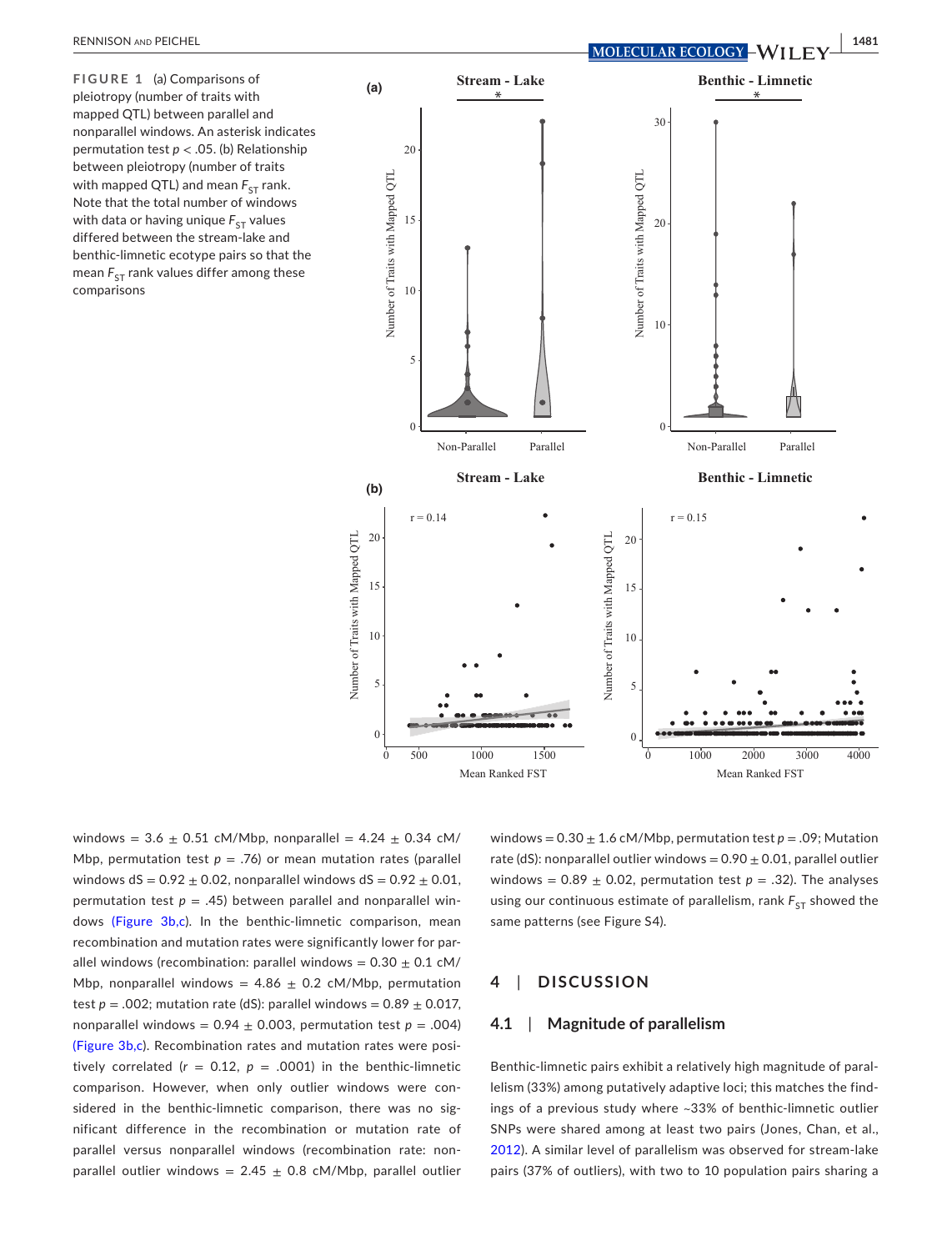<span id="page-5-0"></span>**FIGURE 1** (a) Comparisons of pleiotropy (number of traits with mapped QTL) between parallel and nonparallel windows. An asterisk indicates permutation test *p* < .05. (b) Relationship between pleiotropy (number of traits with mapped QTL) and mean  $F_{ST}$  rank. Note that the total number of windows with data or having unique  $F_{ST}$  values differed between the stream-lake and benthic-limnetic ecotype pairs so that the mean  $F_{ST}$  rank values differ among these comparisons



windows =  $3.6 \pm 0.51$  cM/Mbp, nonparallel =  $4.24 \pm 0.34$  cM/ Mbp, permutation test  $p = .76$ ) or mean mutation rates (parallel windows dS =  $0.92 \pm 0.02$ , nonparallel windows dS =  $0.92 \pm 0.01$ , permutation test  $p = .45$ ) between parallel and nonparallel windows (Figure [3b,c](#page-7-0)). In the benthic-limnetic comparison, mean recombination and mutation rates were significantly lower for parallel windows (recombination: parallel windows =  $0.30 \pm 0.1$  cM/ Mbp, nonparallel windows =  $4.86 \pm 0.2$  cM/Mbp, permutation test  $p = .002$ ; mutation rate (dS): parallel windows =  $0.89 \pm 0.017$ , nonparallel windows =  $0.94 \pm 0.003$ , permutation test  $p = .004$ ) (Figure [3b,c](#page-7-0)). Recombination rates and mutation rates were positively correlated ( $r = 0.12$ ,  $p = .0001$ ) in the benthic-limnetic comparison. However, when only outlier windows were considered in the benthic-limnetic comparison, there was no significant difference in the recombination or mutation rate of parallel versus nonparallel windows (recombination rate: nonparallel outlier windows =  $2.45 \pm 0.8$  cM/Mbp, parallel outlier

windows =  $0.30 \pm 1.6$  cM/Mbp, permutation test  $p = .09$ ; Mutation rate (dS): nonparallel outlier windows =  $0.90 \pm 0.01$ , parallel outlier windows =  $0.89 \pm 0.02$ , permutation test  $p = .32$ ). The analyses using our continuous estimate of parallelism, rank  $F_{ST}$  showed the same patterns (see Figure S4).

#### **4**  | **DISCUSSION**

### **4.1**  | **Magnitude of parallelism**

Benthic-limnetic pairs exhibit a relatively high magnitude of parallelism (33%) among putatively adaptive loci; this matches the findings of a previous study where ~33% of benthic-limnetic outlier SNPs were shared among at least two pairs (Jones, Chan, et al., [2012](#page-9-24)). A similar level of parallelism was observed for stream-lake pairs (37% of outliers), with two to 10 population pairs sharing a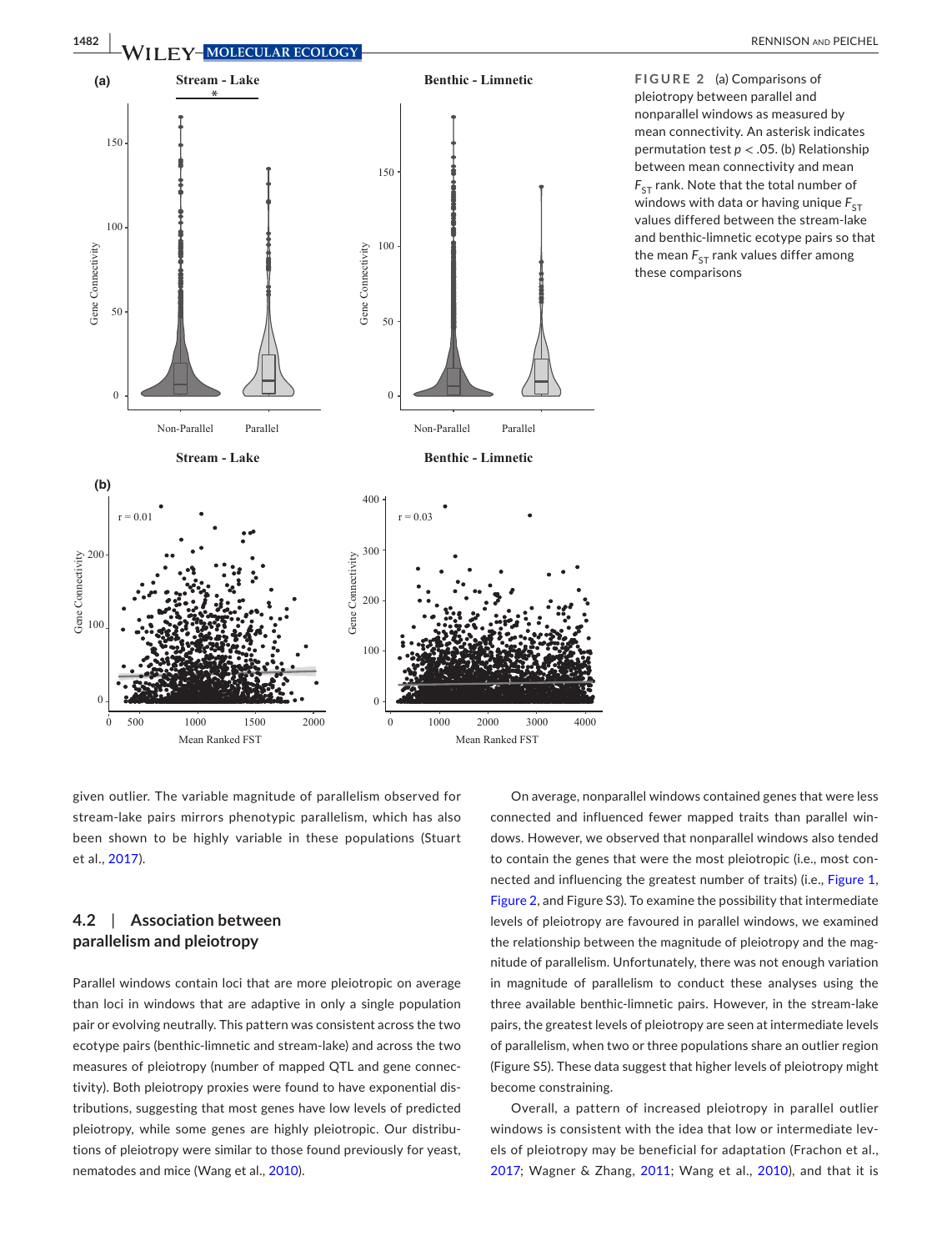

<span id="page-6-0"></span>**FIGURE 2** (a) Comparisons of pleiotropy between parallel and nonparallel windows as measured by mean connectivity. An asterisk indicates permutation test *p* < .05. (b) Relationship between mean connectivity and mean  $F_{ST}$  rank. Note that the total number of windows with data or having unique  $F_{ST}$ values differed between the stream-lake and benthic-limnetic ecotype pairs so that the mean  $F_{ST}$  rank values differ among these comparisons

given outlier. The variable magnitude of parallelism observed for stream-lake pairs mirrors phenotypic parallelism, which has also been shown to be highly variable in these populations (Stuart et al., [2017\)](#page-10-10).

# **4.2**  | **Association between parallelism and pleiotropy**

Parallel windows contain loci that are more pleiotropic on average than loci in windows that are adaptive in only a single population pair or evolving neutrally. This pattern was consistent across the two ecotype pairs (benthic-limnetic and stream-lake) and across the two measures of pleiotropy (number of mapped QTL and gene connectivity). Both pleiotropy proxies were found to have exponential distributions, suggesting that most genes have low levels of predicted pleiotropy, while some genes are highly pleiotropic. Our distributions of pleiotropy were similar to those found previously for yeast, nematodes and mice (Wang et al., [2010\)](#page-10-4).

On average, nonparallel windows contained genes that were less connected and influenced fewer mapped traits than parallel windows. However, we observed that nonparallel windows also tended to contain the genes that were the most pleiotropic (i.e., most connected and influencing the greatest number of traits) (i.e., Figure [1,](#page-5-0) Figure [2](#page-6-0), and Figure S3). To examine the possibility that intermediate levels of pleiotropy are favoured in parallel windows, we examined the relationship between the magnitude of pleiotropy and the magnitude of parallelism. Unfortunately, there was not enough variation in magnitude of parallelism to conduct these analyses using the three available benthic-limnetic pairs. However, in the stream-lake pairs, the greatest levels of pleiotropy are seen at intermediate levels of parallelism, when two or three populations share an outlier region (Figure S5). These data suggest that higher levels of pleiotropy might become constraining.

Overall, a pattern of increased pleiotropy in parallel outlier windows is consistent with the idea that low or intermediate levels of pleiotropy may be beneficial for adaptation (Frachon et al., [2017;](#page-9-7) Wagner & Zhang, [2011;](#page-10-5) Wang et al., [2010](#page-10-4)), and that it is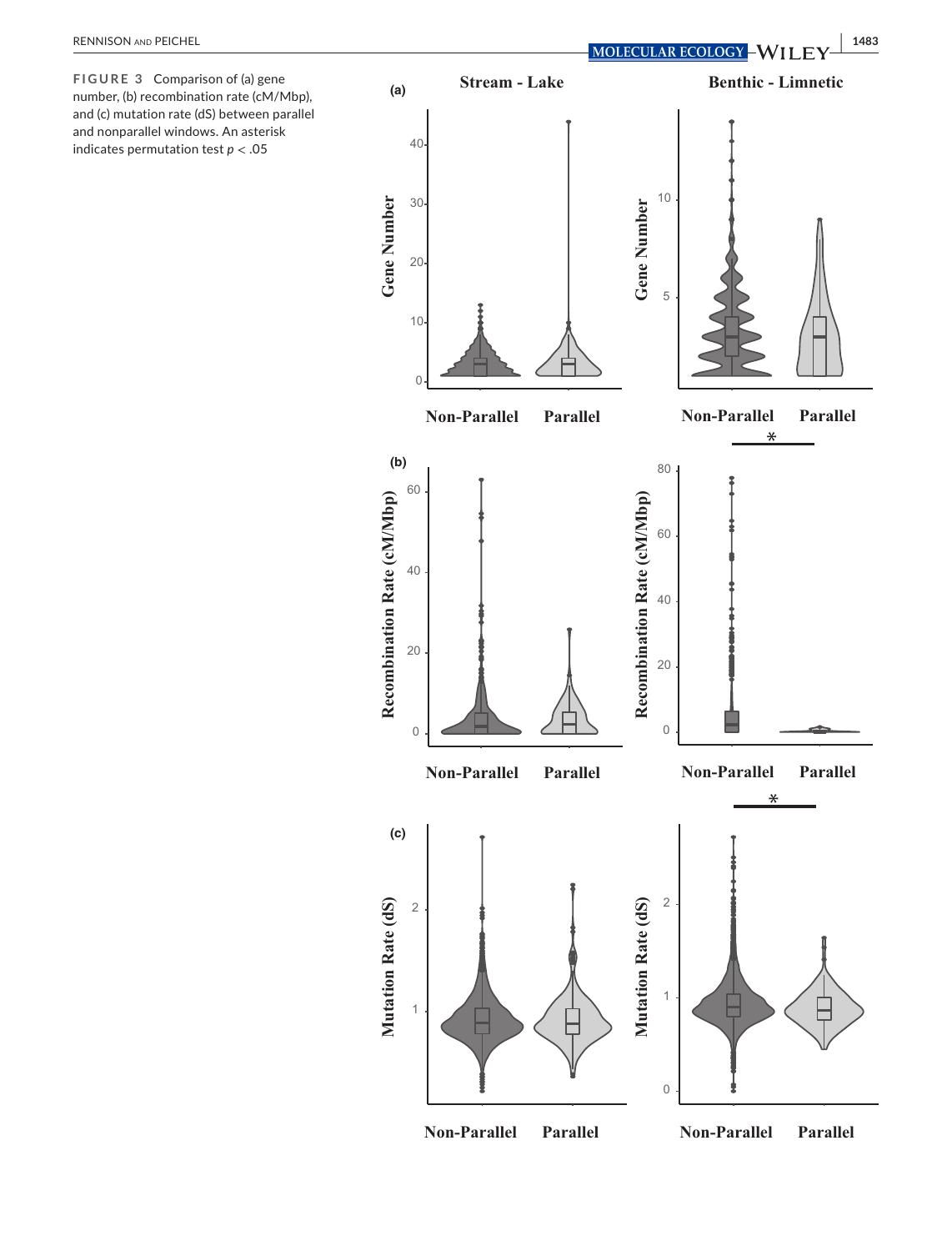<span id="page-7-0"></span>**FIGURE 3** Comparison of (a) gene number, (b) recombination rate (cM/Mbp), and (c) mutation rate (dS) between parallel and nonparallel windows. An asterisk indicates permutation test *p* < .05

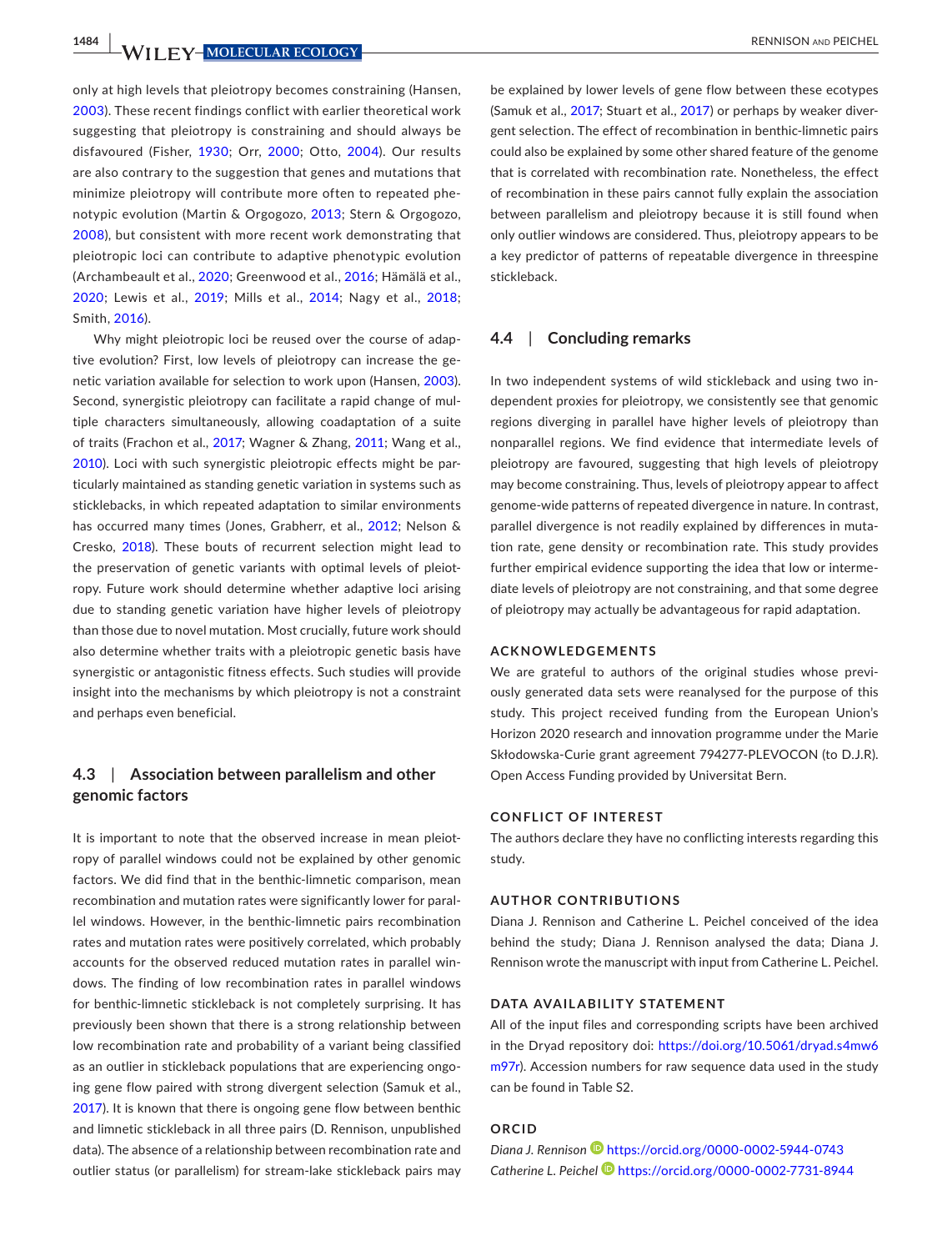**1484 WII FY-MOLECULAR ECOLOGY RENNISON AND PEICHEL** 

only at high levels that pleiotropy becomes constraining (Hansen, [2003](#page-9-30)). These recent findings conflict with earlier theoretical work suggesting that pleiotropy is constraining and should always be disfavoured (Fisher, [1930](#page-9-3); Orr, [2000](#page-9-4); Otto, [2004](#page-10-2)). Our results are also contrary to the suggestion that genes and mutations that minimize pleiotropy will contribute more often to repeated phenotypic evolution (Martin & Orgogozo, [2013](#page-9-2); Stern & Orgogozo, [2008](#page-10-1)), but consistent with more recent work demonstrating that pleiotropic loci can contribute to adaptive phenotypic evolution (Archambeault et al., [2020;](#page-9-13) Greenwood et al., [2016;](#page-9-10) Hämälä et al., [2020](#page-9-18); Lewis et al., [2019;](#page-9-12) Mills et al., [2014](#page-9-9); Nagy et al., [2018](#page-9-11); Smith, [2016](#page-10-3)).

Why might pleiotropic loci be reused over the course of adaptive evolution? First, low levels of pleiotropy can increase the genetic variation available for selection to work upon (Hansen, [2003](#page-9-30)). Second, synergistic pleiotropy can facilitate a rapid change of multiple characters simultaneously, allowing coadaptation of a suite of traits (Frachon et al., [2017](#page-9-7); Wagner & Zhang, [2011;](#page-10-5) Wang et al., [2010](#page-10-4)). Loci with such synergistic pleiotropic effects might be particularly maintained as standing genetic variation in systems such as sticklebacks, in which repeated adaptation to similar environments has occurred many times (Jones, Grabherr, et al., [2012](#page-9-25); Nelson & Cresko, [2018\)](#page-9-31). These bouts of recurrent selection might lead to the preservation of genetic variants with optimal levels of pleiotropy. Future work should determine whether adaptive loci arising due to standing genetic variation have higher levels of pleiotropy than those due to novel mutation. Most crucially, future work should also determine whether traits with a pleiotropic genetic basis have synergistic or antagonistic fitness effects. Such studies will provide insight into the mechanisms by which pleiotropy is not a constraint and perhaps even beneficial.

# **4.3**  | **Association between parallelism and other genomic factors**

It is important to note that the observed increase in mean pleiotropy of parallel windows could not be explained by other genomic factors. We did find that in the benthic-limnetic comparison, mean recombination and mutation rates were significantly lower for parallel windows. However, in the benthic-limnetic pairs recombination rates and mutation rates were positively correlated, which probably accounts for the observed reduced mutation rates in parallel windows. The finding of low recombination rates in parallel windows for benthic-limnetic stickleback is not completely surprising. It has previously been shown that there is a strong relationship between low recombination rate and probability of a variant being classified as an outlier in stickleback populations that are experiencing ongoing gene flow paired with strong divergent selection (Samuk et al., [2017](#page-10-8)). It is known that there is ongoing gene flow between benthic and limnetic stickleback in all three pairs (D. Rennison, unpublished data). The absence of a relationship between recombination rate and outlier status (or parallelism) for stream-lake stickleback pairs may

be explained by lower levels of gene flow between these ecotypes (Samuk et al., [2017](#page-10-8); Stuart et al., [2017](#page-10-10)) or perhaps by weaker divergent selection. The effect of recombination in benthic-limnetic pairs could also be explained by some other shared feature of the genome that is correlated with recombination rate. Nonetheless, the effect of recombination in these pairs cannot fully explain the association between parallelism and pleiotropy because it is still found when only outlier windows are considered. Thus, pleiotropy appears to be a key predictor of patterns of repeatable divergence in threespine stickleback.

### **4.4**  | **Concluding remarks**

In two independent systems of wild stickleback and using two independent proxies for pleiotropy, we consistently see that genomic regions diverging in parallel have higher levels of pleiotropy than nonparallel regions. We find evidence that intermediate levels of pleiotropy are favoured, suggesting that high levels of pleiotropy may become constraining. Thus, levels of pleiotropy appear to affect genome-wide patterns of repeated divergence in nature. In contrast, parallel divergence is not readily explained by differences in mutation rate, gene density or recombination rate. This study provides further empirical evidence supporting the idea that low or intermediate levels of pleiotropy are not constraining, and that some degree of pleiotropy may actually be advantageous for rapid adaptation.

### **ACKNOWLEDGEMENTS**

We are grateful to authors of the original studies whose previously generated data sets were reanalysed for the purpose of this study. This project received funding from the European Union's Horizon 2020 research and innovation programme under the Marie Skłodowska-Curie grant agreement 794277-PLEVOCON (to D.J.R). Open Access Funding provided by Universitat Bern.

### **CONFLICT OF INTEREST**

The authors declare they have no conflicting interests regarding this study.

#### **AUTHOR CONTRIBUTIONS**

Diana J. Rennison and Catherine L. Peichel conceived of the idea behind the study; Diana J. Rennison analysed the data; Diana J. Rennison wrote the manuscript with input from Catherine L. Peichel.

#### **DATA AVAILABILITY STATEMENT**

All of the input files and corresponding scripts have been archived in the Dryad repository doi: [https://doi.org/10.5061/dryad.s4mw6](https://doi.org/10.5061/dryad.s4mw6m97r) [m97r](https://doi.org/10.5061/dryad.s4mw6m97r)). Accession numbers for raw sequence data used in the study can be found in Table S2.

### **ORCID**

*Diana J. Rennison* <https://orcid.org/0000-0002-5944-0743> *Catherine L. Peichel* <https://orcid.org/0000-0002-7731-8944>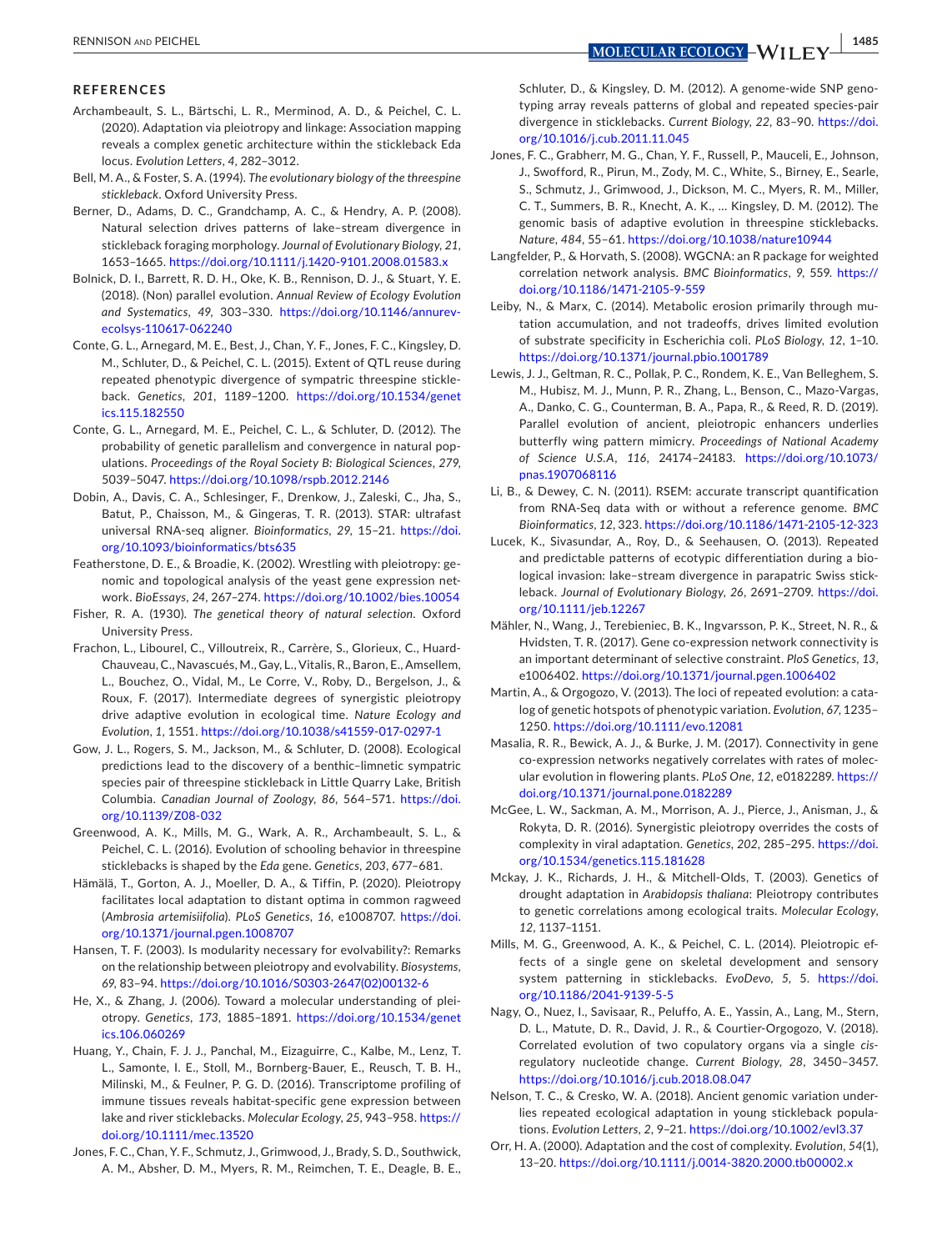#### **REFERENCES**

- <span id="page-9-13"></span>Archambeault, S. L., Bärtschi, L. R., Merminod, A. D., & Peichel, C. L. (2020). Adaptation via pleiotropy and linkage: Association mapping reveals a complex genetic architecture within the stickleback Eda locus. *Evolution Letters*, *4*, 282–3012.
- <span id="page-9-19"></span>Bell, M. A., & Foster, S. A. (1994). *The evolutionary biology of the threespine stickleback*. Oxford University Press.
- <span id="page-9-20"></span>Berner, D., Adams, D. C., Grandchamp, A. C., & Hendry, A. P. (2008). Natural selection drives patterns of lake–stream divergence in stickleback foraging morphology. *Journal of Evolutionary Biology*, *21*, 1653–1665. <https://doi.org/10.1111/j.1420-9101.2008.01583.x>
- <span id="page-9-0"></span>Bolnick, D. I., Barrett, R. D. H., Oke, K. B., Rennison, D. J., & Stuart, Y. E. (2018). (Non) parallel evolution. *Annual Review of Ecology Evolution and Systematics*, *49*, 303–330. [https://doi.org/10.1146/annurev](https://doi.org/10.1146/annurev-ecolsys-110617-062240)[ecolsys-110617-062240](https://doi.org/10.1146/annurev-ecolsys-110617-062240)
- <span id="page-9-23"></span>Conte, G. L., Arnegard, M. E., Best, J., Chan, Y. F., Jones, F. C., Kingsley, D. M., Schluter, D., & Peichel, C. L. (2015). Extent of QTL reuse during repeated phenotypic divergence of sympatric threespine stickleback. *Genetics*, *201*, 1189–1200. [https://doi.org/10.1534/genet](https://doi.org/10.1534/genetics.115.182550) [ics.115.182550](https://doi.org/10.1534/genetics.115.182550)
- <span id="page-9-1"></span>Conte, G. L., Arnegard, M. E., Peichel, C. L., & Schluter, D. (2012). The probability of genetic parallelism and convergence in natural populations. *Proceedings of the Royal Society B: Biological Sciences*, *279*, 5039–5047. <https://doi.org/10.1098/rspb.2012.2146>
- <span id="page-9-27"></span>Dobin, A., Davis, C. A., Schlesinger, F., Drenkow, J., Zaleski, C., Jha, S., Batut, P., Chaisson, M., & Gingeras, T. R. (2013). STAR: ultrafast universal RNA-seq aligner. *Bioinformatics*, *29*, 15–21. [https://doi.](https://doi.org/10.1093/bioinformatics/bts635) [org/10.1093/bioinformatics/bts635](https://doi.org/10.1093/bioinformatics/bts635)
- <span id="page-9-14"></span>Featherstone, D. E., & Broadie, K. (2002). Wrestling with pleiotropy: genomic and topological analysis of the yeast gene expression network. *BioEssays*, *24*, 267–274. <https://doi.org/10.1002/bies.10054>
- <span id="page-9-3"></span>Fisher, R. A. (1930). *The genetical theory of natural selection*. Oxford University Press.
- <span id="page-9-7"></span>Frachon, L., Libourel, C., Villoutreix, R., Carrère, S., Glorieux, C., Huard-Chauveau, C., Navascués, M., Gay, L., Vitalis, R., Baron, E., Amsellem, L., Bouchez, O., Vidal, M., Le Corre, V., Roby, D., Bergelson, J., & Roux, F. (2017). Intermediate degrees of synergistic pleiotropy drive adaptive evolution in ecological time. *Nature Ecology and Evolution*, *1*, 1551. <https://doi.org/10.1038/s41559-017-0297-1>
- <span id="page-9-22"></span>Gow, J. L., Rogers, S. M., Jackson, M., & Schluter, D. (2008). Ecological predictions lead to the discovery of a benthic–limnetic sympatric species pair of threespine stickleback in Little Quarry Lake, British Columbia. *Canadian Journal of Zoology*, *86*, 564–571. [https://doi.](https://doi.org/10.1139/Z08-032) [org/10.1139/Z08-032](https://doi.org/10.1139/Z08-032)
- <span id="page-9-10"></span>Greenwood, A. K., Mills, M. G., Wark, A. R., Archambeault, S. L., & Peichel, C. L. (2016). Evolution of schooling behavior in threespine sticklebacks is shaped by the *Eda* gene. *Genetics*, *203*, 677–681.
- <span id="page-9-18"></span>Hämälä, T., Gorton, A. J., Moeller, D. A., & Tiffin, P. (2020). Pleiotropy facilitates local adaptation to distant optima in common ragweed (*Ambrosia artemisiifolia*). *PLoS Genetics*, *16*, e1008707. [https://doi.](https://doi.org/10.1371/journal.pgen.1008707) [org/10.1371/journal.pgen.1008707](https://doi.org/10.1371/journal.pgen.1008707)
- <span id="page-9-30"></span>Hansen, T. F. (2003). Is modularity necessary for evolvability?: Remarks on the relationship between pleiotropy and evolvability. *Biosystems*, *69*, 83–94. [https://doi.org/10.1016/S0303-2647\(02\)00132-6](https://doi.org/10.1016/S0303-2647(02)00132-6)
- <span id="page-9-15"></span>He, X., & Zhang, J. (2006). Toward a molecular understanding of pleiotropy. *Genetics*, *173*, 1885–1891. [https://doi.org/10.1534/genet](https://doi.org/10.1534/genetics.106.060269) [ics.106.060269](https://doi.org/10.1534/genetics.106.060269)
- <span id="page-9-26"></span>Huang, Y., Chain, F. J. J., Panchal, M., Eizaguirre, C., Kalbe, M., Lenz, T. L., Samonte, I. E., Stoll, M., Bornberg-Bauer, E., Reusch, T. B. H., Milinski, M., & Feulner, P. G. D. (2016). Transcriptome profiling of immune tissues reveals habitat-specific gene expression between lake and river sticklebacks. *Molecular Ecology*, *25*, 943–958. [https://](https://doi.org/10.1111/mec.13520) [doi.org/10.1111/mec.13520](https://doi.org/10.1111/mec.13520)
- <span id="page-9-24"></span>Jones, F. C., Chan, Y. F., Schmutz, J., Grimwood, J., Brady, S. D., Southwick, A. M., Absher, D. M., Myers, R. M., Reimchen, T. E., Deagle, B. E.,

typing array reveals patterns of global and repeated species-pair divergence in sticklebacks. *Current Biology*, *22*, 83–90. [https://doi.](https://doi.org/10.1016/j.cub.2011.11.045) [org/10.1016/j.cub.2011.11.045](https://doi.org/10.1016/j.cub.2011.11.045)

<span id="page-9-25"></span>Jones, F. C., Grabherr, M. G., Chan, Y. F., Russell, P., Mauceli, E., Johnson, J., Swofford, R., Pirun, M., Zody, M. C., White, S., Birney, E., Searle, S., Schmutz, J., Grimwood, J., Dickson, M. C., Myers, R. M., Miller, C. T., Summers, B. R., Knecht, A. K., … Kingsley, D. M. (2012). The genomic basis of adaptive evolution in threespine sticklebacks. *Nature*, *484*, 55–61. <https://doi.org/10.1038/nature10944>

<span id="page-9-29"></span>Langfelder, P., & Horvath, S. (2008). WGCNA: an R package for weighted correlation network analysis. *BMC Bioinformatics*, *9*, 559. [https://](https://doi.org/10.1186/1471-2105-9-559) [doi.org/10.1186/1471-2105-9-559](https://doi.org/10.1186/1471-2105-9-559)

<span id="page-9-6"></span>Leiby, N., & Marx, C. (2014). Metabolic erosion primarily through mutation accumulation, and not tradeoffs, drives limited evolution of substrate specificity in Escherichia coli. *PLoS Biology*, *12*, 1–10. <https://doi.org/10.1371/journal.pbio.1001789>

- <span id="page-9-12"></span>Lewis, J. J., Geltman, R. C., Pollak, P. C., Rondem, K. E., Van Belleghem, S. M., Hubisz, M. J., Munn, P. R., Zhang, L., Benson, C., Mazo-Vargas, A., Danko, C. G., Counterman, B. A., Papa, R., & Reed, R. D. (2019). Parallel evolution of ancient, pleiotropic enhancers underlies butterfly wing pattern mimicry. *Proceedings of National Academy of Science U.S.A*, *116*, 24174–24183. [https://doi.org/10.1073/](https://doi.org/10.1073/pnas.1907068116) [pnas.1907068116](https://doi.org/10.1073/pnas.1907068116)
- <span id="page-9-28"></span>Li, B., & Dewey, C. N. (2011). RSEM: accurate transcript quantification from RNA-Seq data with or without a reference genome. *BMC Bioinformatics*, *12*, 323. <https://doi.org/10.1186/1471-2105-12-323>
- <span id="page-9-21"></span>Lucek, K., Sivasundar, A., Roy, D., & Seehausen, O. (2013). Repeated and predictable patterns of ecotypic differentiation during a biological invasion: lake–stream divergence in parapatric Swiss stickleback. *Journal of Evolutionary Biology*, *26*, 2691–2709. [https://doi.](https://doi.org/10.1111/jeb.12267) [org/10.1111/jeb.12267](https://doi.org/10.1111/jeb.12267)
- <span id="page-9-16"></span>Mähler, N., Wang, J., Terebieniec, B. K., Ingvarsson, P. K., Street, N. R., & Hvidsten, T. R. (2017). Gene co-expression network connectivity is an important determinant of selective constraint. *PloS Genetics*, *13*, e1006402.<https://doi.org/10.1371/journal.pgen.1006402>
- <span id="page-9-2"></span>Martin, A., & Orgogozo, V. (2013). The loci of repeated evolution: a catalog of genetic hotspots of phenotypic variation. *Evolution*, *67*, 1235– 1250. <https://doi.org/10.1111/evo.12081>
- <span id="page-9-17"></span>Masalia, R. R., Bewick, A. J., & Burke, J. M. (2017). Connectivity in gene co-expression networks negatively correlates with rates of molecular evolution in flowering plants. *PLoS One*, *12*, e0182289. [https://](https://doi.org/10.1371/journal.pone.0182289) [doi.org/10.1371/journal.pone.0182289](https://doi.org/10.1371/journal.pone.0182289)
- <span id="page-9-8"></span>McGee, L. W., Sackman, A. M., Morrison, A. J., Pierce, J., Anisman, J., & Rokyta, D. R. (2016). Synergistic pleiotropy overrides the costs of complexity in viral adaptation. *Genetics*, *202*, 285–295. [https://doi.](https://doi.org/10.1534/genetics.115.181628) [org/10.1534/genetics.115.181628](https://doi.org/10.1534/genetics.115.181628)
- <span id="page-9-5"></span>Mckay, J. K., Richards, J. H., & Mitchell-Olds, T. (2003). Genetics of drought adaptation in *Arabidopsis thaliana*: Pleiotropy contributes to genetic correlations among ecological traits. *Molecular Ecology*, *12*, 1137–1151.
- <span id="page-9-9"></span>Mills, M. G., Greenwood, A. K., & Peichel, C. L. (2014). Pleiotropic effects of a single gene on skeletal development and sensory system patterning in sticklebacks. *EvoDevo*, *5*, 5. [https://doi.](https://doi.org/10.1186/2041-9139-5-5) [org/10.1186/2041-9139-5-5](https://doi.org/10.1186/2041-9139-5-5)
- <span id="page-9-11"></span>Nagy, O., Nuez, I., Savisaar, R., Peluffo, A. E., Yassin, A., Lang, M., Stern, D. L., Matute, D. R., David, J. R., & Courtier-Orgogozo, V. (2018). Correlated evolution of two copulatory organs via a single *cis*regulatory nucleotide change. *Current Biology*, *28*, 3450–3457. <https://doi.org/10.1016/j.cub.2018.08.047>
- <span id="page-9-31"></span>Nelson, T. C., & Cresko, W. A. (2018). Ancient genomic variation underlies repeated ecological adaptation in young stickleback populations. *Evolution Letters*, *2*, 9–21.<https://doi.org/10.1002/evl3.37>
- <span id="page-9-4"></span>Orr, H. A. (2000). Adaptation and the cost of complexity. *Evolution*, *54*(1), 13–20.<https://doi.org/10.1111/j.0014-3820.2000.tb00002.x>